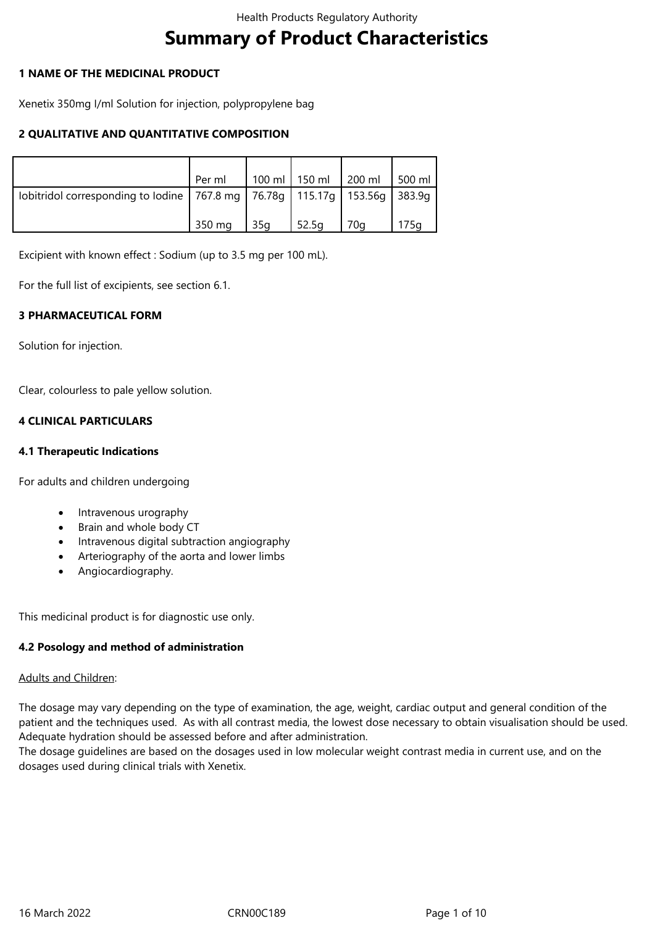# **Summary of Product Characteristics**

## **1 NAME OF THE MEDICINAL PRODUCT**

Xenetix 350mg I/ml Solution for injection, polypropylene bag

## **2 QUALITATIVE AND QUANTITATIVE COMPOSITION**

|                                                                                     | Per ml |     | 100 ml   150 ml   200 ml |     | $500$ ml |
|-------------------------------------------------------------------------------------|--------|-----|--------------------------|-----|----------|
| lobitridol corresponding to lodine   767.8 mg   76.78g   115.17g   153.56g   383.9g |        |     |                          |     |          |
|                                                                                     | 350 mg | 35q | $\frac{1}{2}$ 52.5g      | 70a | 175q     |

Excipient with known effect : Sodium (up to 3.5 mg per 100 mL).

For the full list of excipients, see section 6.1.

#### **3 PHARMACEUTICAL FORM**

Solution for injection.

Clear, colourless to pale yellow solution.

#### **4 CLINICAL PARTICULARS**

#### **4.1 Therapeutic Indications**

For adults and children undergoing

- Intravenous urography
- Brain and whole body CT
- Intravenous digital subtraction angiography
- Arteriography of the aorta and lower limbs
- Angiocardiography.

This medicinal product is for diagnostic use only.

#### **4.2 Posology and method of administration**

#### Adults and Children:

The dosage may vary depending on the type of examination, the age, weight, cardiac output and general condition of the patient and the techniques used. As with all contrast media, the lowest dose necessary to obtain visualisation should be used. Adequate hydration should be assessed before and after administration.

The dosage guidelines are based on the dosages used in low molecular weight contrast media in current use, and on the dosages used during clinical trials with Xenetix.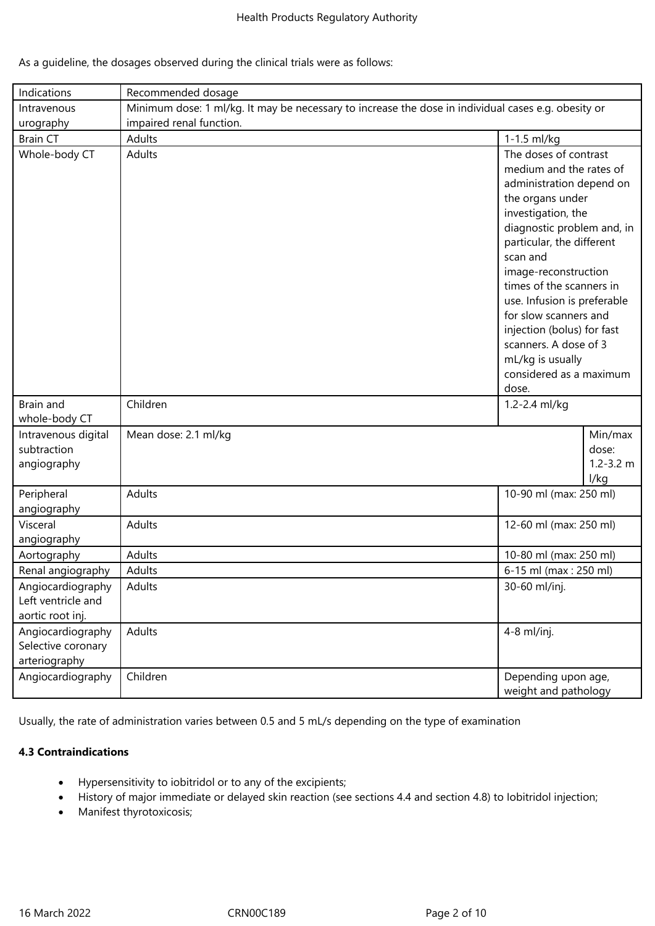|  | As a guideline, the dosages observed during the clinical trials were as follows: |  |  |  |
|--|----------------------------------------------------------------------------------|--|--|--|
|  |                                                                                  |  |  |  |

| Indications                                                 | Recommended dosage                                                                                  |                                                                                                                                                                                                                                                                                                                                                                                                                          |                                           |  |
|-------------------------------------------------------------|-----------------------------------------------------------------------------------------------------|--------------------------------------------------------------------------------------------------------------------------------------------------------------------------------------------------------------------------------------------------------------------------------------------------------------------------------------------------------------------------------------------------------------------------|-------------------------------------------|--|
| Intravenous                                                 | Minimum dose: 1 ml/kg. It may be necessary to increase the dose in individual cases e.g. obesity or |                                                                                                                                                                                                                                                                                                                                                                                                                          |                                           |  |
| urography                                                   | impaired renal function.                                                                            |                                                                                                                                                                                                                                                                                                                                                                                                                          |                                           |  |
| <b>Brain CT</b>                                             | Adults                                                                                              | 1-1.5 ml/kg                                                                                                                                                                                                                                                                                                                                                                                                              |                                           |  |
| Whole-body CT                                               | Adults                                                                                              | The doses of contrast<br>medium and the rates of<br>administration depend on<br>the organs under<br>investigation, the<br>diagnostic problem and, in<br>particular, the different<br>scan and<br>image-reconstruction<br>times of the scanners in<br>use. Infusion is preferable<br>for slow scanners and<br>injection (bolus) for fast<br>scanners. A dose of 3<br>mL/kg is usually<br>considered as a maximum<br>dose. |                                           |  |
| Brain and<br>whole-body CT                                  | Children                                                                                            | 1.2-2.4 ml/kg                                                                                                                                                                                                                                                                                                                                                                                                            |                                           |  |
| Intravenous digital<br>subtraction<br>angiography           | Mean dose: 2.1 ml/kg                                                                                |                                                                                                                                                                                                                                                                                                                                                                                                                          | Min/max<br>dose:<br>$1.2 - 3.2$ m<br>l/kg |  |
| Peripheral<br>angiography                                   | Adults                                                                                              | 10-90 ml (max: 250 ml)                                                                                                                                                                                                                                                                                                                                                                                                   |                                           |  |
| Visceral<br>angiography                                     | Adults                                                                                              | 12-60 ml (max: 250 ml)                                                                                                                                                                                                                                                                                                                                                                                                   |                                           |  |
| Aortography                                                 | Adults                                                                                              | 10-80 ml (max: 250 ml)                                                                                                                                                                                                                                                                                                                                                                                                   |                                           |  |
| Renal angiography                                           | Adults                                                                                              | 6-15 ml (max: 250 ml)                                                                                                                                                                                                                                                                                                                                                                                                    |                                           |  |
| Angiocardiography<br>Left ventricle and<br>aortic root inj. | Adults                                                                                              | 30-60 ml/inj.                                                                                                                                                                                                                                                                                                                                                                                                            |                                           |  |
| Angiocardiography<br>Selective coronary<br>arteriography    | Adults                                                                                              | 4-8 ml/inj.                                                                                                                                                                                                                                                                                                                                                                                                              |                                           |  |
| Angiocardiography                                           | Children                                                                                            | Depending upon age,<br>weight and pathology                                                                                                                                                                                                                                                                                                                                                                              |                                           |  |

Usually, the rate of administration varies between 0.5 and 5 mL/s depending on the type of examination

## **4.3 Contraindications**

- Hypersensitivity to iobitridol or to any of the excipients;
- History of major immediate or delayed skin reaction (see sections 4.4 and section 4.8) to Iobitridol injection;
- Manifest thyrotoxicosis;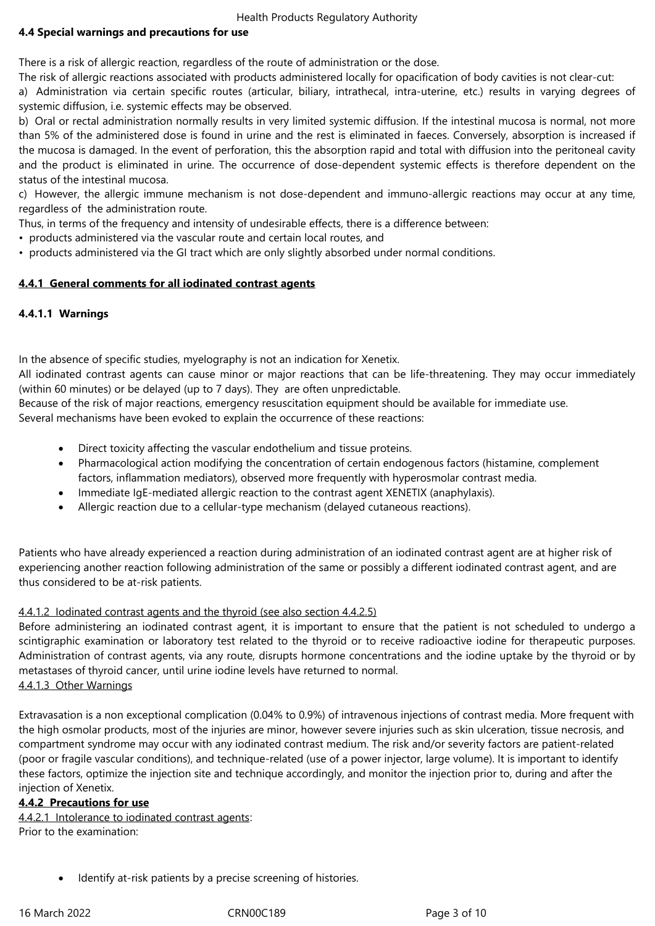# **4.4 Special warnings and precautions for use**

There is a risk of allergic reaction, regardless of the route of administration or the dose.

The risk of allergic reactions associated with products administered locally for opacification of body cavities is not clear-cut:

a) Administration via certain specific routes (articular, biliary, intrathecal, intra-uterine, etc.) results in varying degrees of systemic diffusion, i.e. systemic effects may be observed.

b) Oral or rectal administration normally results in very limited systemic diffusion. If the intestinal mucosa is normal, not more than 5% of the administered dose is found in urine and the rest is eliminated in faeces. Conversely, absorption is increased if the mucosa is damaged. In the event of perforation, this the absorption rapid and total with diffusion into the peritoneal cavity and the product is eliminated in urine. The occurrence of dose-dependent systemic effects is therefore dependent on the status of the intestinal mucosa.

c) However, the allergic immune mechanism is not dose-dependent and immuno-allergic reactions may occur at any time, regardless of the administration route.

Thus, in terms of the frequency and intensity of undesirable effects, there is a difference between:

- products administered via the vascular route and certain local routes, and
- products administered via the GI tract which are only slightly absorbed under normal conditions.

# **4.4.1 General comments for all iodinated contrast agents**

# **4.4.1.1 Warnings**

In the absence of specific studies, myelography is not an indication for Xenetix.

All iodinated contrast agents can cause minor or major reactions that can be life-threatening. They may occur immediately (within 60 minutes) or be delayed (up to 7 days). They are often unpredictable.

Because of the risk of major reactions, emergency resuscitation equipment should be available for immediate use. Several mechanisms have been evoked to explain the occurrence of these reactions:

- Direct toxicity affecting the vascular endothelium and tissue proteins.
- Pharmacological action modifying the concentration of certain endogenous factors (histamine, complement factors, inflammation mediators), observed more frequently with hyperosmolar contrast media.
- Immediate IgE-mediated allergic reaction to the contrast agent XENETIX (anaphylaxis).
- Allergic reaction due to a cellular-type mechanism (delayed cutaneous reactions).

Patients who have already experienced a reaction during administration of an iodinated contrast agent are at higher risk of experiencing another reaction following administration of the same or possibly a different iodinated contrast agent, and are thus considered to be at-risk patients.

# 4.4.1.2 Iodinated contrast agents and the thyroid (see also section 4.4.2.5)

Before administering an iodinated contrast agent, it is important to ensure that the patient is not scheduled to undergo a scintigraphic examination or laboratory test related to the thyroid or to receive radioactive iodine for therapeutic purposes. Administration of contrast agents, via any route, disrupts hormone concentrations and the iodine uptake by the thyroid or by metastases of thyroid cancer, until urine iodine levels have returned to normal. 4.4.1.3 Other Warnings

Extravasation is a non exceptional complication (0.04% to 0.9%) of intravenous injections of contrast media. More frequent with the high osmolar products, most of the injuries are minor, however severe injuries such as skin ulceration, tissue necrosis, and compartment syndrome may occur with any iodinated contrast medium. The risk and/or severity factors are patient-related (poor or fragile vascular conditions), and technique-related (use of a power injector, large volume). It is important to identify these factors, optimize the injection site and technique accordingly, and monitor the injection prior to, during and after the injection of Xenetix.

# **4.4.2 Precautions for use**

4.4.2.1 Intolerance to iodinated contrast agents: Prior to the examination:

Identify at-risk patients by a precise screening of histories.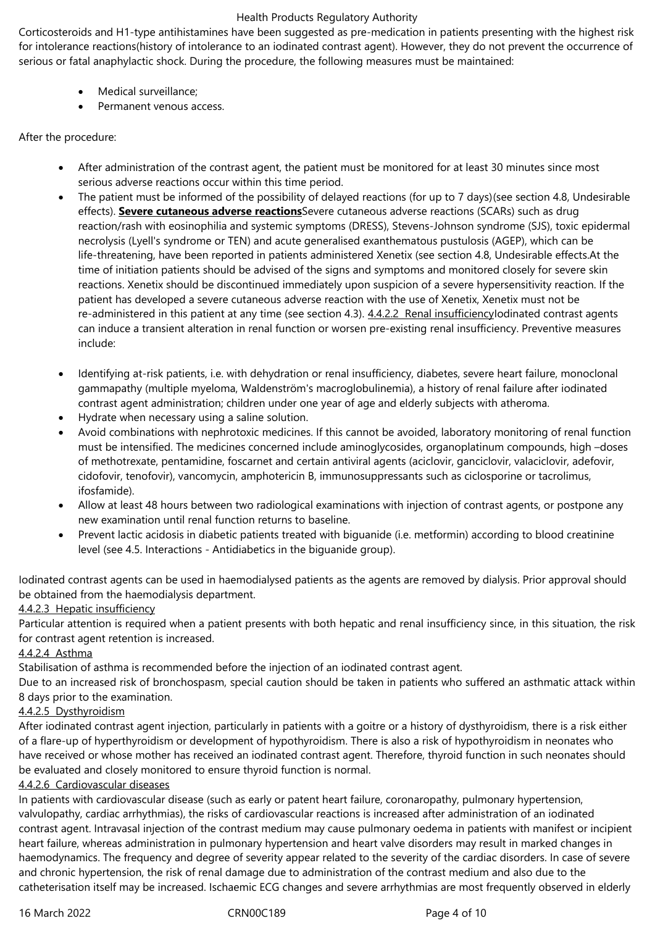Corticosteroids and H1-type antihistamines have been suggested as pre-medication in patients presenting with the highest risk for intolerance reactions(history of intolerance to an iodinated contrast agent). However, they do not prevent the occurrence of serious or fatal anaphylactic shock. During the procedure, the following measures must be maintained:

- Medical surveillance;
- Permanent venous access.

# After the procedure:

- After administration of the contrast agent, the patient must be monitored for at least 30 minutes since most serious adverse reactions occur within this time period.
- The patient must be informed of the possibility of delayed reactions (for up to 7 days)(see section 4.8, Undesirable effects). **Severe cutaneous adverse reactions**Severe cutaneous adverse reactions (SCARs) such as drug reaction/rash with eosinophilia and systemic symptoms (DRESS), Stevens-Johnson syndrome (SJS), toxic epidermal necrolysis (Lyell's syndrome or TEN) and acute generalised exanthematous pustulosis (AGEP), which can be life-threatening, have been reported in patients administered Xenetix (see section 4.8, Undesirable effects.At the time of initiation patients should be advised of the signs and symptoms and monitored closely for severe skin reactions. Xenetix should be discontinued immediately upon suspicion of a severe hypersensitivity reaction. If the patient has developed a severe cutaneous adverse reaction with the use of Xenetix, Xenetix must not be re-administered in this patient at any time (see section 4.3). 4.4.2.2 Renal insufficiencyIodinated contrast agents can induce a transient alteration in renal function or worsen pre-existing renal insufficiency. Preventive measures include:
- Identifying at-risk patients, i.e. with dehydration or renal insufficiency, diabetes, severe heart failure, monoclonal gammapathy (multiple myeloma, Waldenström's macroglobulinemia), a history of renal failure after iodinated contrast agent administration; children under one year of age and elderly subjects with atheroma.
- Hydrate when necessary using a saline solution.
- Avoid combinations with nephrotoxic medicines. If this cannot be avoided, laboratory monitoring of renal function must be intensified. The medicines concerned include aminoglycosides, organoplatinum compounds, high –doses of methotrexate, pentamidine, foscarnet and certain antiviral agents (aciclovir, ganciclovir, valaciclovir, adefovir, cidofovir, tenofovir), vancomycin, amphotericin B, immunosuppressants such as ciclosporine or tacrolimus, ifosfamide).
- Allow at least 48 hours between two radiological examinations with injection of contrast agents, or postpone any new examination until renal function returns to baseline.
- Prevent lactic acidosis in diabetic patients treated with biguanide (i.e. metformin) according to blood creatinine level (see 4.5. Interactions - Antidiabetics in the biguanide group).

Iodinated contrast agents can be used in haemodialysed patients as the agents are removed by dialysis. Prior approval should be obtained from the haemodialysis department.

# 4.4.2.3 Hepatic insufficiency

Particular attention is required when a patient presents with both hepatic and renal insufficiency since, in this situation, the risk for contrast agent retention is increased.

# 4.4.2.4 Asthma

Stabilisation of asthma is recommended before the injection of an iodinated contrast agent.

Due to an increased risk of bronchospasm, special caution should be taken in patients who suffered an asthmatic attack within 8 days prior to the examination.

# 4.4.2.5 Dysthyroidism

After iodinated contrast agent injection, particularly in patients with a goitre or a history of dysthyroidism, there is a risk either of a flare-up of hyperthyroidism or development of hypothyroidism. There is also a risk of hypothyroidism in neonates who have received or whose mother has received an iodinated contrast agent. Therefore, thyroid function in such neonates should be evaluated and closely monitored to ensure thyroid function is normal.

# 4.4.2.6 Cardiovascular diseases

In patients with cardiovascular disease (such as early or patent heart failure, coronaropathy, pulmonary hypertension, valvulopathy, cardiac arrhythmias), the risks of cardiovascular reactions is increased after administration of an iodinated contrast agent. Intravasal injection of the contrast medium may cause pulmonary oedema in patients with manifest or incipient heart failure, whereas administration in pulmonary hypertension and heart valve disorders may result in marked changes in haemodynamics. The frequency and degree of severity appear related to the severity of the cardiac disorders. In case of severe and chronic hypertension, the risk of renal damage due to administration of the contrast medium and also due to the catheterisation itself may be increased. Ischaemic ECG changes and severe arrhythmias are most frequently observed in elderly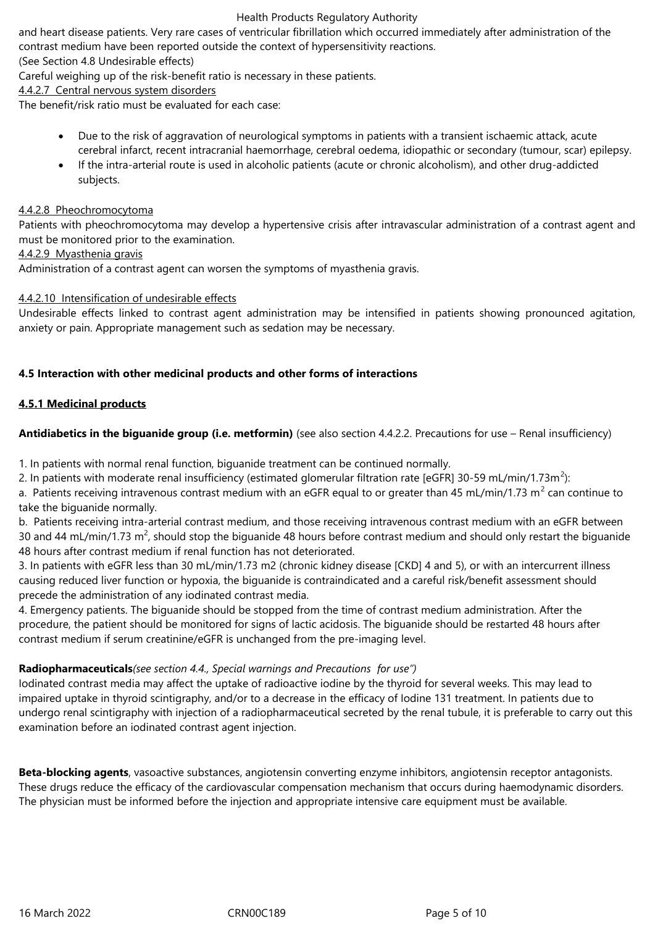and heart disease patients. Very rare cases of ventricular fibrillation which occurred immediately after administration of the contrast medium have been reported outside the context of hypersensitivity reactions.

(See Section 4.8 Undesirable effects)

Careful weighing up of the risk-benefit ratio is necessary in these patients.

4.4.2.7 Central nervous system disorders

The benefit/risk ratio must be evaluated for each case:

- Due to the risk of aggravation of neurological symptoms in patients with a transient ischaemic attack, acute cerebral infarct, recent intracranial haemorrhage, cerebral oedema, idiopathic or secondary (tumour, scar) epilepsy.
- If the intra-arterial route is used in alcoholic patients (acute or chronic alcoholism), and other drug-addicted subjects.

#### 4.4.2.8 Pheochromocytoma

Patients with pheochromocytoma may develop a hypertensive crisis after intravascular administration of a contrast agent and must be monitored prior to the examination.

#### 4.4.2.9 Myasthenia gravis

Administration of a contrast agent can worsen the symptoms of myasthenia gravis.

#### 4.4.2.10 Intensification of undesirable effects

Undesirable effects linked to contrast agent administration may be intensified in patients showing pronounced agitation, anxiety or pain. Appropriate management such as sedation may be necessary.

#### **4.5 Interaction with other medicinal products and other forms of interactions**

# **4.5.1 Medicinal products**

**Antidiabetics in the biguanide group (i.e. metformin)** (see also section 4.4.2.2. Precautions for use – Renal insufficiency)

1. In patients with normal renal function, biguanide treatment can be continued normally.

2. In patients with moderate renal insufficiency (estimated glomerular filtration rate [eGFR] 30-59 mL/min/1.73m<sup>2</sup>):

a. Patients receiving intravenous contrast medium with an eGFR equal to or greater than 45 mL/min/1.73 m<sup>2</sup> can continue to take the biguanide normally.

b. Patients receiving intra-arterial contrast medium, and those receiving intravenous contrast medium with an eGFR between 30 and 44 mL/min/1.73 m<sup>2</sup>, should stop the biguanide 48 hours before contrast medium and should only restart the biguanide 48 hours after contrast medium if renal function has not deteriorated.

3. In patients with eGFR less than 30 mL/min/1.73 m2 (chronic kidney disease [CKD] 4 and 5), or with an intercurrent illness causing reduced liver function or hypoxia, the biguanide is contraindicated and a careful risk/benefit assessment should precede the administration of any iodinated contrast media.

4. Emergency patients. The biguanide should be stopped from the time of contrast medium administration. After the procedure, the patient should be monitored for signs of lactic acidosis. The biguanide should be restarted 48 hours after contrast medium if serum creatinine/eGFR is unchanged from the pre-imaging level.

# **Radiopharmaceuticals***(see section 4.4., Special warnings and Precautions for use")*

Iodinated contrast media may affect the uptake of radioactive iodine by the thyroid for several weeks. This may lead to impaired uptake in thyroid scintigraphy, and/or to a decrease in the efficacy of Iodine 131 treatment. In patients due to undergo renal scintigraphy with injection of a radiopharmaceutical secreted by the renal tubule, it is preferable to carry out this examination before an iodinated contrast agent injection.

**Beta-blocking agents**, vasoactive substances, angiotensin converting enzyme inhibitors, angiotensin receptor antagonists. These drugs reduce the efficacy of the cardiovascular compensation mechanism that occurs during haemodynamic disorders. The physician must be informed before the injection and appropriate intensive care equipment must be available.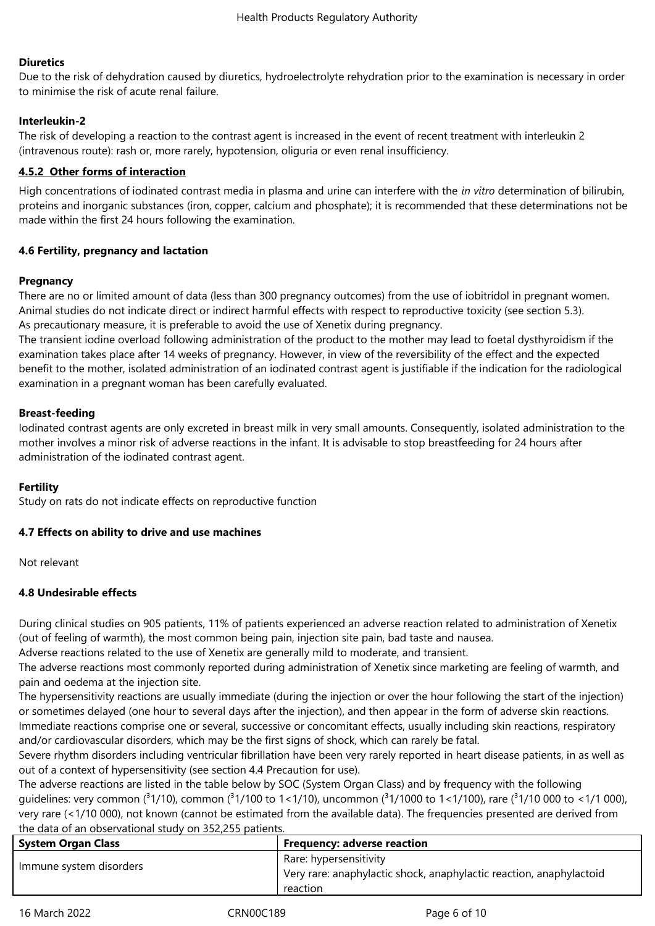#### **Diuretics**

Due to the risk of dehydration caused by diuretics, hydroelectrolyte rehydration prior to the examination is necessary in order to minimise the risk of acute renal failure.

# **Interleukin-2**

The risk of developing a reaction to the contrast agent is increased in the event of recent treatment with interleukin 2 (intravenous route): rash or, more rarely, hypotension, oliguria or even renal insufficiency.

## **4.5.2 Other forms of interaction**

High concentrations of iodinated contrast media in plasma and urine can interfere with the *in vitro* determination of bilirubin, proteins and inorganic substances (iron, copper, calcium and phosphate); it is recommended that these determinations not be made within the first 24 hours following the examination.

#### **4.6 Fertility, pregnancy and lactation**

#### **Pregnancy**

There are no or limited amount of data (less than 300 pregnancy outcomes) from the use of iobitridol in pregnant women. Animal studies do not indicate direct or indirect harmful effects with respect to reproductive toxicity (see section 5.3). As precautionary measure, it is preferable to avoid the use of Xenetix during pregnancy.

The transient iodine overload following administration of the product to the mother may lead to foetal dysthyroidism if the examination takes place after 14 weeks of pregnancy. However, in view of the reversibility of the effect and the expected benefit to the mother, isolated administration of an iodinated contrast agent is justifiable if the indication for the radiological examination in a pregnant woman has been carefully evaluated.

#### **Breast-feeding**

Iodinated contrast agents are only excreted in breast milk in very small amounts. Consequently, isolated administration to the mother involves a minor risk of adverse reactions in the infant. It is advisable to stop breastfeeding for 24 hours after administration of the iodinated contrast agent.

#### **Fertility**

Study on rats do not indicate effects on reproductive function

# **4.7 Effects on ability to drive and use machines**

Not relevant

#### **4.8 Undesirable effects**

During clinical studies on 905 patients, 11% of patients experienced an adverse reaction related to administration of Xenetix (out of feeling of warmth), the most common being pain, injection site pain, bad taste and nausea.

Adverse reactions related to the use of Xenetix are generally mild to moderate, and transient.

The adverse reactions most commonly reported during administration of Xenetix since marketing are feeling of warmth, and pain and oedema at the injection site.

The hypersensitivity reactions are usually immediate (during the injection or over the hour following the start of the injection) or sometimes delayed (one hour to several days after the injection), and then appear in the form of adverse skin reactions. Immediate reactions comprise one or several, successive or concomitant effects, usually including skin reactions, respiratory and/or cardiovascular disorders, which may be the first signs of shock, which can rarely be fatal.

Severe rhythm disorders including ventricular fibrillation have been very rarely reported in heart disease patients, in as well as out of a context of hypersensitivity (see section 4.4 Precaution for use).

The adverse reactions are listed in the table below by SOC (System Organ Class) and by frequency with the following guidelines: very common ( $31/10$ ), common ( $31/100$  to  $1<1/10$ ), uncommon ( $31/1000$  to  $1<1/100$ ), rare ( $31/10000$  to  $<1/1000$ ), very rare (<1/10 000), not known (cannot be estimated from the available data). The frequencies presented are derived from the data of an observational study on 352,255 patients.

| <b>System Organ Class</b> | <b>Frequency: adverse reaction</b>                                  |
|---------------------------|---------------------------------------------------------------------|
| Immune system disorders   | Rare: hypersensitivity                                              |
|                           | Very rare: anaphylactic shock, anaphylactic reaction, anaphylactoid |
|                           | reaction                                                            |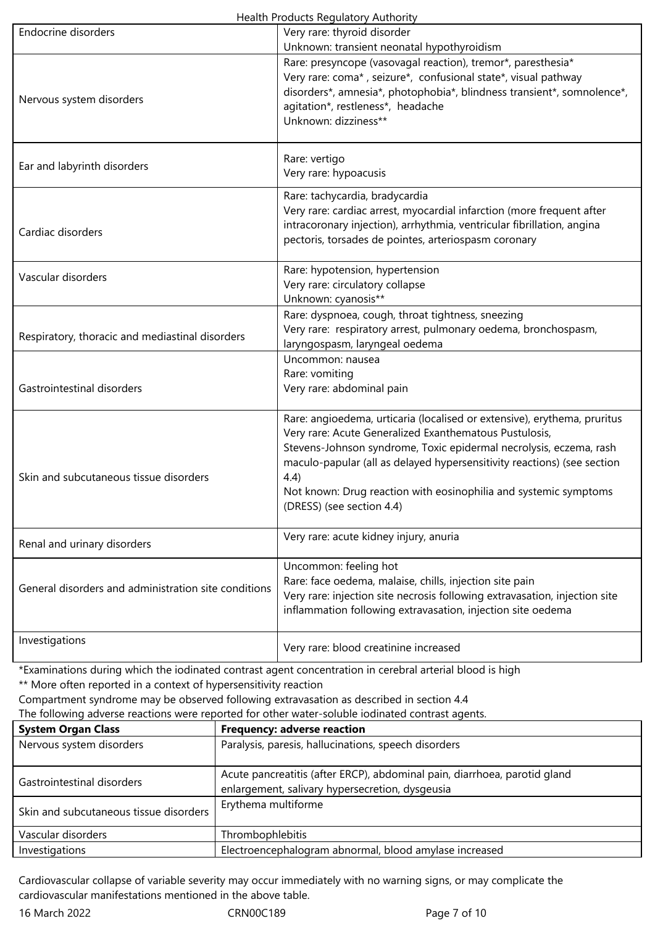|  | Health Products Regulatory Authority |
|--|--------------------------------------|
|  |                                      |

|                                                      | ricaith riodacts negalatory Authority                                                                                                                                                                                                                                                                                                                                                        |
|------------------------------------------------------|----------------------------------------------------------------------------------------------------------------------------------------------------------------------------------------------------------------------------------------------------------------------------------------------------------------------------------------------------------------------------------------------|
| Endocrine disorders                                  | Very rare: thyroid disorder                                                                                                                                                                                                                                                                                                                                                                  |
| Nervous system disorders                             | Unknown: transient neonatal hypothyroidism<br>Rare: presyncope (vasovagal reaction), tremor*, paresthesia*<br>Very rare: coma*, seizure*, confusional state*, visual pathway<br>disorders*, amnesia*, photophobia*, blindness transient*, somnolence*,<br>agitation*, restleness*, headache<br>Unknown: dizziness**                                                                          |
| Ear and labyrinth disorders                          | Rare: vertigo<br>Very rare: hypoacusis                                                                                                                                                                                                                                                                                                                                                       |
| Cardiac disorders                                    | Rare: tachycardia, bradycardia<br>Very rare: cardiac arrest, myocardial infarction (more frequent after<br>intracoronary injection), arrhythmia, ventricular fibrillation, angina<br>pectoris, torsades de pointes, arteriospasm coronary                                                                                                                                                    |
| Vascular disorders                                   | Rare: hypotension, hypertension<br>Very rare: circulatory collapse<br>Unknown: cyanosis**                                                                                                                                                                                                                                                                                                    |
| Respiratory, thoracic and mediastinal disorders      | Rare: dyspnoea, cough, throat tightness, sneezing<br>Very rare: respiratory arrest, pulmonary oedema, bronchospasm,<br>laryngospasm, laryngeal oedema                                                                                                                                                                                                                                        |
| Gastrointestinal disorders                           | Uncommon: nausea<br>Rare: vomiting<br>Very rare: abdominal pain                                                                                                                                                                                                                                                                                                                              |
| Skin and subcutaneous tissue disorders               | Rare: angioedema, urticaria (localised or extensive), erythema, pruritus<br>Very rare: Acute Generalized Exanthematous Pustulosis,<br>Stevens-Johnson syndrome, Toxic epidermal necrolysis, eczema, rash<br>maculo-papular (all as delayed hypersensitivity reactions) (see section<br>4.4)<br>Not known: Drug reaction with eosinophilia and systemic symptoms<br>(DRESS) (see section 4.4) |
| Renal and urinary disorders                          | Very rare: acute kidney injury, anuria                                                                                                                                                                                                                                                                                                                                                       |
| General disorders and administration site conditions | Uncommon: feeling hot<br>Rare: face oedema, malaise, chills, injection site pain<br>Very rare: injection site necrosis following extravasation, injection site<br>inflammation following extravasation, injection site oedema                                                                                                                                                                |
| Investigations                                       | Very rare: blood creatinine increased                                                                                                                                                                                                                                                                                                                                                        |
|                                                      |                                                                                                                                                                                                                                                                                                                                                                                              |

\*Examinations during which the iodinated contrast agent concentration in cerebral arterial blood is high

\*\* More often reported in a context of hypersensitivity reaction

Compartment syndrome may be observed following extravasation as described in section 4.4

| The following adverse reactions were reported for other water-soluble iodinated contrast agents. |  |
|--------------------------------------------------------------------------------------------------|--|
|--------------------------------------------------------------------------------------------------|--|

| <b>System Organ Class</b>              | <b>Frequency: adverse reaction</b>                                                                                           |
|----------------------------------------|------------------------------------------------------------------------------------------------------------------------------|
| Nervous system disorders               | Paralysis, paresis, hallucinations, speech disorders                                                                         |
| Gastrointestinal disorders             | Acute pancreatitis (after ERCP), abdominal pain, diarrhoea, parotid gland<br>enlargement, salivary hypersecretion, dysgeusia |
| Skin and subcutaneous tissue disorders | Erythema multiforme                                                                                                          |
| Vascular disorders                     | Thrombophlebitis                                                                                                             |
| Investigations                         | Electroencephalogram abnormal, blood amylase increased                                                                       |

Cardiovascular collapse of variable severity may occur immediately with no warning signs, or may complicate the cardiovascular manifestations mentioned in the above table.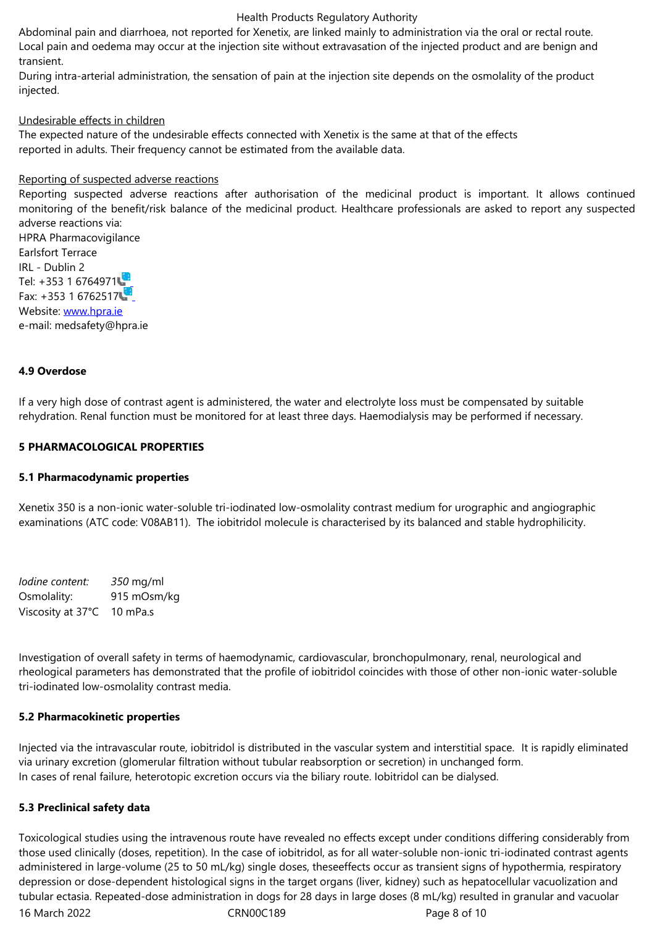transient.

During intra-arterial administration, the sensation of pain at the injection site depends on the osmolality of the product injected.

#### Undesirable effects in children

The expected nature of the undesirable effects connected with Xenetix is the same at that of the effects reported in adults. Their frequency cannot be estimated from the available data.

#### Reporting of suspected adverse reactions

Reporting suspected adverse reactions after authorisation of the medicinal product is important. It allows continued monitoring of the benefit/risk balance of the medicinal product. Healthcare professionals are asked to report any suspected adverse reactions via:

HPRA Pharmacovigilance Earlsfort Terrace IRL - Dublin 2 Tel: +353 1 6764971 Fax: +353 1 6762517 Website: www.hpra.ie e-mail: medsafety@hpra.ie

#### **4.9 Over[dose](http://www.hpra.ie/)**

If a very high dose of contrast agent is administered, the water and electrolyte loss must be compensated by suitable rehydration. Renal function must be monitored for at least three days. Haemodialysis may be performed if necessary.

#### **5 PHARMACOLOGICAL PROPERTIES**

#### **5.1 Pharmacodynamic properties**

Xenetix 350 is a non-ionic water-soluble tri-iodinated low-osmolality contrast medium for urographic and angiographic examinations (ATC code: V08AB11). The iobitridol molecule is characterised by its balanced and stable hydrophilicity.

*Iodine content: 350* mg/ml Osmolality: 915 mOsm/kg Viscosity at 37°C 10 mPa.s

Investigation of overall safety in terms of haemodynamic, cardiovascular, bronchopulmonary, renal, neurological and rheological parameters has demonstrated that the profile of iobitridol coincides with those of other non-ionic water-soluble tri-iodinated low-osmolality contrast media.

#### **5.2 Pharmacokinetic properties**

Injected via the intravascular route, iobitridol is distributed in the vascular system and interstitial space. It is rapidly eliminated via urinary excretion (glomerular filtration without tubular reabsorption or secretion) in unchanged form. In cases of renal failure, heterotopic excretion occurs via the biliary route. Iobitridol can be dialysed.

#### **5.3 Preclinical safety data**

16 March 2022 CRN00C189 Page 8 of 10 Toxicological studies using the intravenous route have revealed no effects except under conditions differing considerably from those used clinically (doses, repetition). In the case of iobitridol, as for all water-soluble non-ionic tri-iodinated contrast agents administered in large-volume (25 to 50 mL/kg) single doses, theseeffects occur as transient signs of hypothermia, respiratory depression or dose-dependent histological signs in the target organs (liver, kidney) such as hepatocellular vacuolization and tubular ectasia. Repeated-dose administration in dogs for 28 days in large doses (8 mL/kg) resulted in granular and vacuolar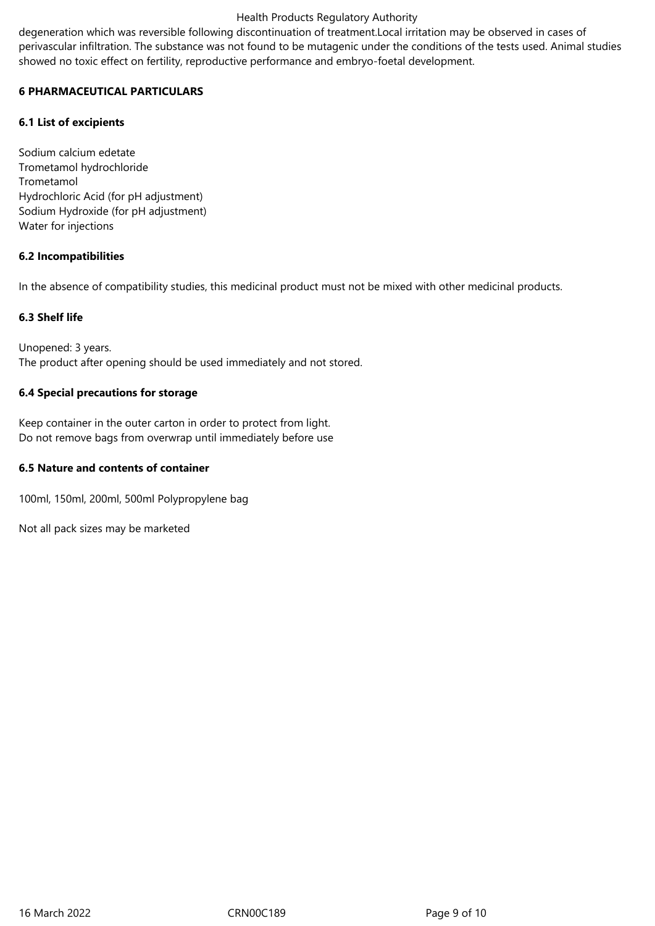degeneration which was reversible following discontinuation of treatment.Local irritation may be observed in cases of perivascular infiltration. The substance was not found to be mutagenic under the conditions of the tests used. Animal studies showed no toxic effect on fertility, reproductive performance and embryo-foetal development.

## **6 PHARMACEUTICAL PARTICULARS**

## **6.1 List of excipients**

Sodium calcium edetate Trometamol hydrochloride Trometamol Hydrochloric Acid (for pH adjustment) Sodium Hydroxide (for pH adjustment) Water for injections

#### **6.2 Incompatibilities**

In the absence of compatibility studies, this medicinal product must not be mixed with other medicinal products.

#### **6.3 Shelf life**

Unopened: 3 years. The product after opening should be used immediately and not stored.

#### **6.4 Special precautions for storage**

Keep container in the outer carton in order to protect from light. Do not remove bags from overwrap until immediately before use

#### **6.5 Nature and contents of container**

100ml, 150ml, 200ml, 500ml Polypropylene bag

Not all pack sizes may be marketed